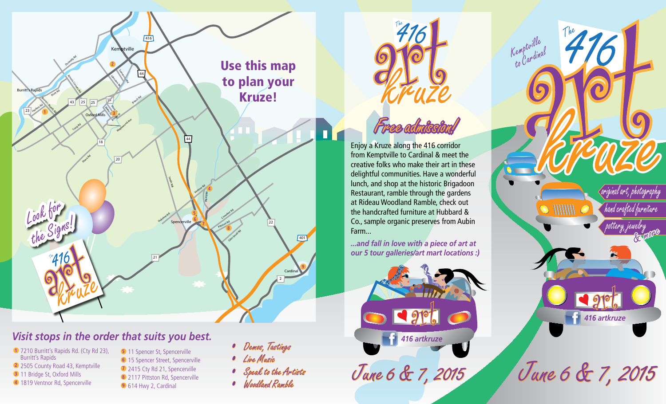

# *Visit stops in the order that suits you best.*

- **1** 7210 Burritt's Rapids Rd. (Cty Rd 23), Burritt's Rapids **2** 2505 County Road 43, Kemptville **3** 11 Bridge St, Oxford Mills
- **4** 1819 Ventnor Rd, Spencerville
- **5** 11 Spencer St, Spencerville **6** 15 Spencer Street, Spencerville **7** 2415 Cty Rd 21, Spencerville **8** 2117 Pittston Rd, Spencerville **9** 614 Hwy 2, Cardinal
- *• Demos, Tastings*
- *• Live Music*
- *• Speak to the Artists*
- *• Woodland Ramble*



*Kemptville to Cardinal*

*June 6 & 7, 2015 June 6 & 7, 2015*

*The*

 $\sim$   $1111111$ 

*original art, photography*

*hand crafted furniture*

*pottery, jewelry*

*416 artkruze*



Enjoy a Kruze along the 416 corridor from Kemptville to Cardinal & meet the creative folks who make their art in these delightful communities. Have a wonderful lunch, and shop at the historic Brigadoon Restaurant, ramble through the gardens at Rideau Woodland Ramble, check out the handcrafted furniture at Hubbard & Co., sample organic preserves from Aubin Farm...

*...and fall in love with a piece of art at our 5 tour galleries/art mart locations :)*

*416 artkruze*

 $90<sub>6</sub>$